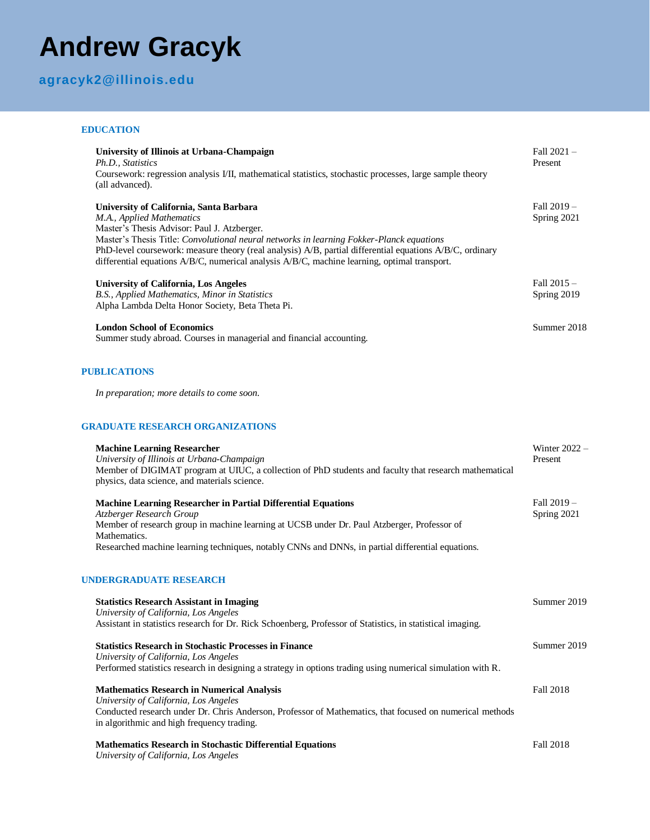# **Andrew Gracyk**

# **agracyk2@illinois.edu**

#### **EDUCATION**

| University of Illinois at Urbana-Champaign<br>Ph.D., Statistics<br>Coursework: regression analysis I/II, mathematical statistics, stochastic processes, large sample theory<br>(all advanced).                                                                                                                                                                                                                              | Fall 2021-<br>Present      |
|-----------------------------------------------------------------------------------------------------------------------------------------------------------------------------------------------------------------------------------------------------------------------------------------------------------------------------------------------------------------------------------------------------------------------------|----------------------------|
| University of California, Santa Barbara<br>M.A., Applied Mathematics<br>Master's Thesis Advisor: Paul J. Atzberger.<br>Master's Thesis Title: Convolutional neural networks in learning Fokker-Planck equations<br>PhD-level coursework: measure theory (real analysis) A/B, partial differential equations A/B/C, ordinary<br>differential equations A/B/C, numerical analysis A/B/C, machine learning, optimal transport. | Fall 2019 -<br>Spring 2021 |
| <b>University of California, Los Angeles</b><br>B.S., Applied Mathematics, Minor in Statistics<br>Alpha Lambda Delta Honor Society, Beta Theta Pi.                                                                                                                                                                                                                                                                          | Fall 2015 -<br>Spring 2019 |
| <b>London School of Economics</b><br>Summer study abroad. Courses in managerial and financial accounting.                                                                                                                                                                                                                                                                                                                   | Summer 2018                |
| <b>PUBLICATIONS</b>                                                                                                                                                                                                                                                                                                                                                                                                         |                            |
| In preparation; more details to come soon.                                                                                                                                                                                                                                                                                                                                                                                  |                            |
| <b>GRADUATE RESEARCH ORGANIZATIONS</b>                                                                                                                                                                                                                                                                                                                                                                                      |                            |
| <b>Machine Learning Researcher</b><br>University of Illinois at Urbana-Champaign<br>Member of DIGIMAT program at UIUC, a collection of PhD students and faculty that research mathematical<br>physics, data science, and materials science.                                                                                                                                                                                 | Winter $2022 -$<br>Present |
| <b>Machine Learning Researcher in Partial Differential Equations</b><br>Atzberger Research Group<br>Member of research group in machine learning at UCSB under Dr. Paul Atzberger, Professor of<br>Mathematics.<br>Researched machine learning techniques, notably CNNs and DNNs, in partial differential equations.                                                                                                        | Fall 2019-<br>Spring 2021  |
| <b>UNDERGRADUATE RESEARCH</b>                                                                                                                                                                                                                                                                                                                                                                                               |                            |
| <b>Statistics Research Assistant in Imaging</b><br>University of California, Los Angeles<br>Assistant in statistics research for Dr. Rick Schoenberg, Professor of Statistics, in statistical imaging.                                                                                                                                                                                                                      | Summer 2019                |
| <b>Statistics Research in Stochastic Processes in Finance</b><br>University of California, Los Angeles<br>Performed statistics research in designing a strategy in options trading using numerical simulation with R.                                                                                                                                                                                                       | Summer 2019                |
| <b>Mathematics Research in Numerical Analysis</b><br>University of California, Los Angeles<br>Conducted research under Dr. Chris Anderson, Professor of Mathematics, that focused on numerical methods<br>in algorithmic and high frequency trading.                                                                                                                                                                        | <b>Fall 2018</b>           |

#### **Mathematics Research in Stochastic Differential Equations**

*University of California, Los Angeles*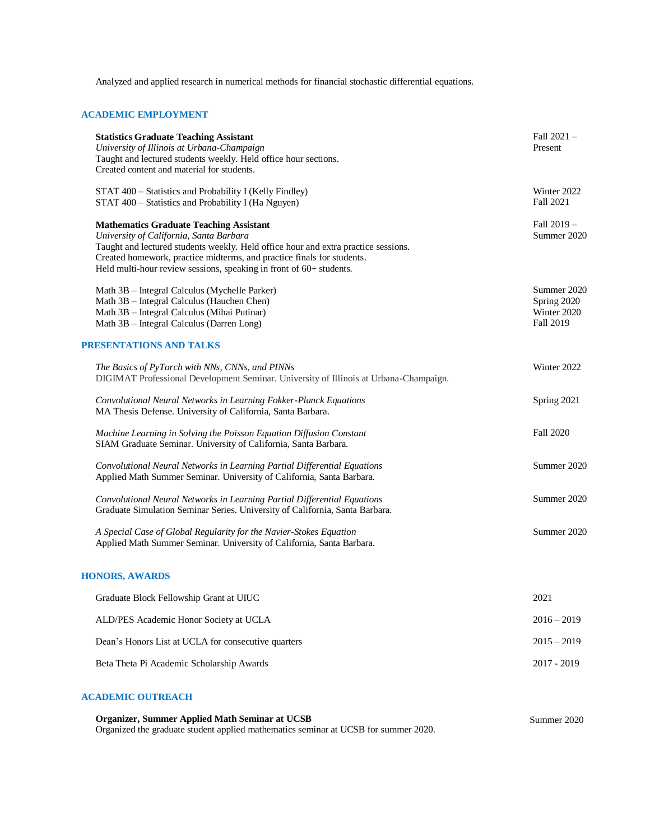Analyzed and applied research in numerical methods for financial stochastic differential equations.

#### **ACADEMIC EMPLOYMENT**

| <b>Statistics Graduate Teaching Assistant</b><br>University of Illinois at Urbana-Champaign<br>Taught and lectured students weekly. Held office hour sections.<br>Created content and material for students.                                                                                                                     | Fall $2021 -$<br>Present                                      |
|----------------------------------------------------------------------------------------------------------------------------------------------------------------------------------------------------------------------------------------------------------------------------------------------------------------------------------|---------------------------------------------------------------|
| STAT 400 - Statistics and Probability I (Kelly Findley)<br>STAT 400 - Statistics and Probability I (Ha Nguyen)                                                                                                                                                                                                                   | Winter 2022<br><b>Fall 2021</b>                               |
| <b>Mathematics Graduate Teaching Assistant</b><br>University of California, Santa Barbara<br>Taught and lectured students weekly. Held office hour and extra practice sessions.<br>Created homework, practice midterms, and practice finals for students.<br>Held multi-hour review sessions, speaking in front of 60+ students. | Fall $2019 -$<br>Summer 2020                                  |
| Math 3B - Integral Calculus (Mychelle Parker)<br>Math 3B - Integral Calculus (Hauchen Chen)<br>Math 3B - Integral Calculus (Mihai Putinar)<br>Math 3B - Integral Calculus (Darren Long)                                                                                                                                          | Summer 2020<br>Spring 2020<br>Winter 2020<br><b>Fall 2019</b> |
| PRESENTATIONS AND TALKS                                                                                                                                                                                                                                                                                                          |                                                               |
| The Basics of PyTorch with NNs, CNNs, and PINNs<br>DIGIMAT Professional Development Seminar. University of Illinois at Urbana-Champaign.                                                                                                                                                                                         | Winter 2022                                                   |
| Convolutional Neural Networks in Learning Fokker-Planck Equations<br>MA Thesis Defense. University of California, Santa Barbara.                                                                                                                                                                                                 | Spring 2021                                                   |
| Machine Learning in Solving the Poisson Equation Diffusion Constant<br>SIAM Graduate Seminar. University of California, Santa Barbara.                                                                                                                                                                                           | <b>Fall 2020</b>                                              |
| Convolutional Neural Networks in Learning Partial Differential Equations<br>Applied Math Summer Seminar. University of California, Santa Barbara.                                                                                                                                                                                | Summer 2020                                                   |
| Convolutional Neural Networks in Learning Partial Differential Equations<br>Graduate Simulation Seminar Series. University of California, Santa Barbara.                                                                                                                                                                         | Summer 2020                                                   |
| A Special Case of Global Regularity for the Navier-Stokes Equation<br>Applied Math Summer Seminar. University of California, Santa Barbara.                                                                                                                                                                                      | Summer 2020                                                   |
| <b>HONORS, AWARDS</b>                                                                                                                                                                                                                                                                                                            |                                                               |
| Graduate Block Fellowship Grant at UIUC                                                                                                                                                                                                                                                                                          | 2021                                                          |
| ALD/PES Academic Honor Society at UCLA                                                                                                                                                                                                                                                                                           | $2016 - 2019$                                                 |
| Dean's Honors List at UCLA for consecutive quarters                                                                                                                                                                                                                                                                              | $2015 - 2019$                                                 |
| Beta Theta Pi Academic Scholarship Awards                                                                                                                                                                                                                                                                                        | 2017 - 2019                                                   |
|                                                                                                                                                                                                                                                                                                                                  |                                                               |

## **ACADEMIC OUTREACH**

**Organizer, Summer Applied Math Seminar at UCSB** Organized the graduate student applied mathematics seminar at UCSB for summer 2020. Summer 2020